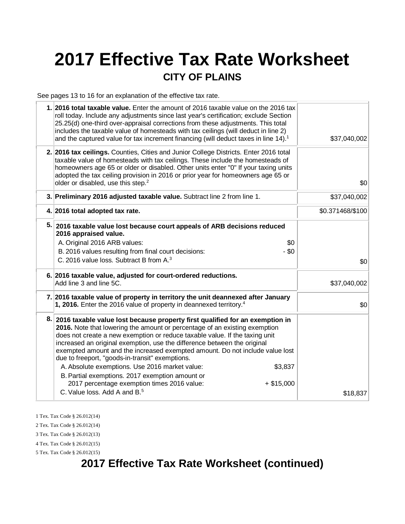# **2017 Effective Tax Rate Worksheet CITY OF PLAINS**

See pages 13 to 16 for an explanation of the effective tax rate.

| 1. 2016 total taxable value. Enter the amount of 2016 taxable value on the 2016 tax<br>roll today. Include any adjustments since last year's certification; exclude Section<br>25.25(d) one-third over-appraisal corrections from these adjustments. This total<br>includes the taxable value of homesteads with tax ceilings (will deduct in line 2)<br>and the captured value for tax increment financing (will deduct taxes in line 14). <sup>1</sup>                                                                                                                                                                                   | \$37,040,002     |
|--------------------------------------------------------------------------------------------------------------------------------------------------------------------------------------------------------------------------------------------------------------------------------------------------------------------------------------------------------------------------------------------------------------------------------------------------------------------------------------------------------------------------------------------------------------------------------------------------------------------------------------------|------------------|
| 2. 2016 tax ceilings. Counties, Cities and Junior College Districts. Enter 2016 total<br>taxable value of homesteads with tax ceilings. These include the homesteads of<br>homeowners age 65 or older or disabled. Other units enter "0" If your taxing units<br>adopted the tax ceiling provision in 2016 or prior year for homeowners age 65 or<br>older or disabled, use this step. <sup>2</sup>                                                                                                                                                                                                                                        | \$0              |
| 3. Preliminary 2016 adjusted taxable value. Subtract line 2 from line 1.                                                                                                                                                                                                                                                                                                                                                                                                                                                                                                                                                                   | \$37,040,002     |
| 4. 2016 total adopted tax rate.                                                                                                                                                                                                                                                                                                                                                                                                                                                                                                                                                                                                            | \$0.371468/\$100 |
| 5. 2016 taxable value lost because court appeals of ARB decisions reduced<br>2016 appraised value.<br>A. Original 2016 ARB values:<br>\$0<br>$-$ \$0<br>B. 2016 values resulting from final court decisions:<br>C. 2016 value loss. Subtract B from A. <sup>3</sup>                                                                                                                                                                                                                                                                                                                                                                        | \$0              |
| 6. 2016 taxable value, adjusted for court-ordered reductions.<br>Add line 3 and line 5C.                                                                                                                                                                                                                                                                                                                                                                                                                                                                                                                                                   | \$37,040,002     |
| 7. 2016 taxable value of property in territory the unit deannexed after January<br>1, 2016. Enter the 2016 value of property in deannexed territory. <sup>4</sup>                                                                                                                                                                                                                                                                                                                                                                                                                                                                          | \$0              |
| 8. 2016 taxable value lost because property first qualified for an exemption in<br>2016. Note that lowering the amount or percentage of an existing exemption<br>does not create a new exemption or reduce taxable value. If the taxing unit<br>increased an original exemption, use the difference between the original<br>exempted amount and the increased exempted amount. Do not include value lost<br>due to freeport, "goods-in-transit" exemptions.<br>A. Absolute exemptions. Use 2016 market value:<br>\$3,837<br>B. Partial exemptions. 2017 exemption amount or<br>2017 percentage exemption times 2016 value:<br>$+$ \$15,000 |                  |
| C. Value loss, Add A and B. <sup>5</sup>                                                                                                                                                                                                                                                                                                                                                                                                                                                                                                                                                                                                   | \$18,837         |

1 Tex. Tax Code § 26.012(14)

2 Tex. Tax Code § 26.012(14)

3 Tex. Tax Code § 26.012(13)

4 Tex. Tax Code § 26.012(15) 5 Tex. Tax Code § 26.012(15)

# **2017 Effective Tax Rate Worksheet (continued)**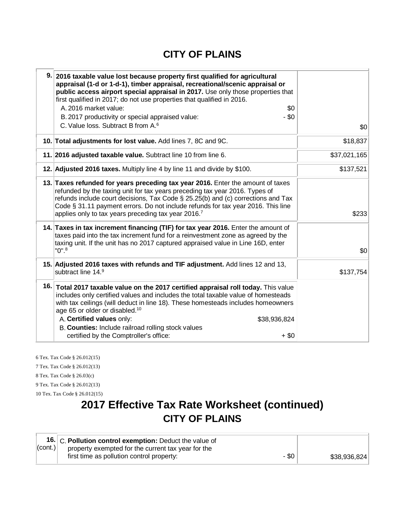#### **CITY OF PLAINS**

| 9. 2016 taxable value lost because property first qualified for agricultural<br>appraisal (1-d or 1-d-1), timber appraisal, recreational/scenic appraisal or<br>public access airport special appraisal in 2017. Use only those properties that<br>first qualified in 2017; do not use properties that qualified in 2016.<br>A. 2016 market value:<br>\$0<br>$-$ \$0<br>B. 2017 productivity or special appraised value:<br>C. Value loss. Subtract B from A. <sup>6</sup> | \$0          |
|----------------------------------------------------------------------------------------------------------------------------------------------------------------------------------------------------------------------------------------------------------------------------------------------------------------------------------------------------------------------------------------------------------------------------------------------------------------------------|--------------|
| 10. Total adjustments for lost value. Add lines 7, 8C and 9C.                                                                                                                                                                                                                                                                                                                                                                                                              | \$18,837     |
| 11. 2016 adjusted taxable value. Subtract line 10 from line 6.                                                                                                                                                                                                                                                                                                                                                                                                             | \$37,021,165 |
| 12. Adjusted 2016 taxes. Multiply line 4 by line 11 and divide by \$100.                                                                                                                                                                                                                                                                                                                                                                                                   | \$137,521    |
| 13. Taxes refunded for years preceding tax year 2016. Enter the amount of taxes<br>refunded by the taxing unit for tax years preceding tax year 2016. Types of<br>refunds include court decisions, Tax Code $\S$ 25.25(b) and (c) corrections and Tax<br>Code § 31.11 payment errors. Do not include refunds for tax year 2016. This line<br>applies only to tax years preceding tax year 2016.7                                                                           | \$233        |
| 14. Taxes in tax increment financing (TIF) for tax year 2016. Enter the amount of<br>taxes paid into the tax increment fund for a reinvestment zone as agreed by the<br>taxing unit. If the unit has no 2017 captured appraised value in Line 16D, enter<br>$"0"$ . $^8$                                                                                                                                                                                                   | \$0          |
| 15. Adjusted 2016 taxes with refunds and TIF adjustment. Add lines 12 and 13,<br>subtract line 14.9                                                                                                                                                                                                                                                                                                                                                                        | \$137,754    |
| 16. Total 2017 taxable value on the 2017 certified appraisal roll today. This value<br>includes only certified values and includes the total taxable value of homesteads<br>with tax ceilings (will deduct in line 18). These homesteads includes homeowners<br>age 65 or older or disabled. <sup>10</sup><br>A. Certified values only:<br>\$38,936,824<br>B. Counties: Include railroad rolling stock values<br>certified by the Comptroller's office:<br>$+$ \$0         |              |

6 Tex. Tax Code § 26.012(15) 7 Tex. Tax Code § 26.012(13) 8 Tex. Tax Code § 26.03(c) 9 Tex. Tax Code § 26.012(13) 10 Tex. Tax Code § 26.012(15)

# **2017 Effective Tax Rate Worksheet (continued) CITY OF PLAINS**

|             | 16. C. Pollution control exemption: Deduct the value of |       |              |
|-------------|---------------------------------------------------------|-------|--------------|
| $ $ (cont.) | property exempted for the current tax year for the      |       |              |
|             | first time as pollution control property:               | - \$0 | \$38,936,824 |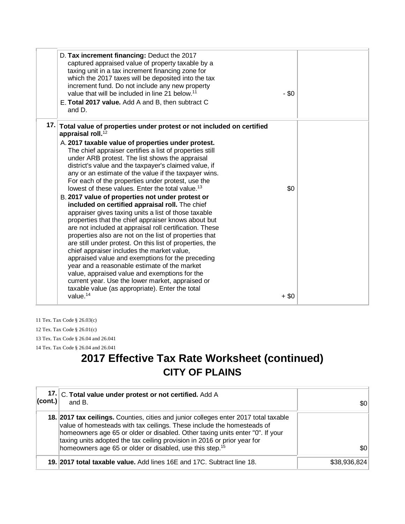| D. Tax increment financing: Deduct the 2017<br>captured appraised value of property taxable by a<br>taxing unit in a tax increment financing zone for<br>which the 2017 taxes will be deposited into the tax<br>increment fund. Do not include any new property<br>value that will be included in line 21 below. <sup>11</sup><br>E. Total 2017 value. Add A and B, then subtract C<br>and D.                                                                                                                                                                                                                                                                                                                                                                                                                                                                                                                                                                                                                                                                                                                                   | $-$ \$0 |  |
|---------------------------------------------------------------------------------------------------------------------------------------------------------------------------------------------------------------------------------------------------------------------------------------------------------------------------------------------------------------------------------------------------------------------------------------------------------------------------------------------------------------------------------------------------------------------------------------------------------------------------------------------------------------------------------------------------------------------------------------------------------------------------------------------------------------------------------------------------------------------------------------------------------------------------------------------------------------------------------------------------------------------------------------------------------------------------------------------------------------------------------|---------|--|
| 17. Total value of properties under protest or not included on certified<br>appraisal roll. <sup>12</sup><br>A. 2017 taxable value of properties under protest.<br>The chief appraiser certifies a list of properties still<br>under ARB protest. The list shows the appraisal<br>district's value and the taxpayer's claimed value, if<br>any or an estimate of the value if the taxpayer wins.<br>For each of the properties under protest, use the<br>lowest of these values. Enter the total value. <sup>13</sup><br>B. 2017 value of properties not under protest or<br>included on certified appraisal roll. The chief<br>appraiser gives taxing units a list of those taxable<br>properties that the chief appraiser knows about but<br>are not included at appraisal roll certification. These<br>properties also are not on the list of properties that<br>are still under protest. On this list of properties, the<br>chief appraiser includes the market value,<br>appraised value and exemptions for the preceding<br>year and a reasonable estimate of the market<br>value, appraised value and exemptions for the | \$0     |  |
| current year. Use the lower market, appraised or<br>taxable value (as appropriate). Enter the total<br>value. $14$                                                                                                                                                                                                                                                                                                                                                                                                                                                                                                                                                                                                                                                                                                                                                                                                                                                                                                                                                                                                              | $+$ \$0 |  |

11 Tex. Tax Code § 26.03(c) 12 Tex. Tax Code § 26.01(c) 13 Tex. Tax Code § 26.04 and 26.041 14 Tex. Tax Code § 26.04 and 26.041

## **2017 Effective Tax Rate Worksheet (continued) CITY OF PLAINS**

| $ _{\rm (cont.)} $ | 17. C. Total value under protest or not certified. Add A<br>and B.                                                                                                                                                                                                                                                                                                                                  | \$0∣         |
|--------------------|-----------------------------------------------------------------------------------------------------------------------------------------------------------------------------------------------------------------------------------------------------------------------------------------------------------------------------------------------------------------------------------------------------|--------------|
|                    | 18. 2017 tax cellings. Counties, cities and junior colleges enter 2017 total taxable<br>value of homesteads with tax ceilings. These include the homesteads of<br>homeowners age 65 or older or disabled. Other taxing units enter "0". If your<br>taxing units adopted the tax ceiling provision in 2016 or prior year for<br>homeowners age 65 or older or disabled, use this step. <sup>15</sup> | \$0          |
|                    | 19. 2017 total taxable value. Add lines 16E and 17C. Subtract line 18.                                                                                                                                                                                                                                                                                                                              | \$38,936,824 |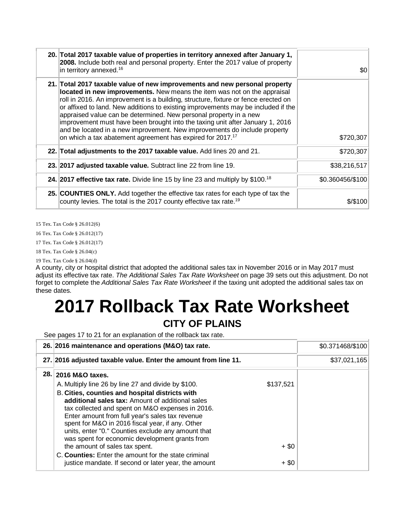| 20. Total 2017 taxable value of properties in territory annexed after January 1,<br>2008. Include both real and personal property. Enter the 2017 value of property<br>in territory annexed. <sup>16</sup>                                                                                                                                                                                                                                                                                                                                                                                                                                     | \$0              |
|------------------------------------------------------------------------------------------------------------------------------------------------------------------------------------------------------------------------------------------------------------------------------------------------------------------------------------------------------------------------------------------------------------------------------------------------------------------------------------------------------------------------------------------------------------------------------------------------------------------------------------------------|------------------|
| 21. Total 2017 taxable value of new improvements and new personal property<br>located in new improvements. New means the item was not on the appraisal<br>roll in 2016. An improvement is a building, structure, fixture or fence erected on<br>or affixed to land. New additions to existing improvements may be included if the<br>appraised value can be determined. New personal property in a new<br>improvement must have been brought into the taxing unit after January 1, 2016<br>and be located in a new improvement. New improvements do include property<br>on which a tax abatement agreement has expired for 2017. <sup>17</sup> | \$720,307        |
| 22. Total adjustments to the 2017 taxable value. Add lines 20 and 21.                                                                                                                                                                                                                                                                                                                                                                                                                                                                                                                                                                          | \$720,307        |
| 23. 2017 adjusted taxable value. Subtract line 22 from line 19.                                                                                                                                                                                                                                                                                                                                                                                                                                                                                                                                                                                | \$38,216,517     |
| 24. 2017 effective tax rate. Divide line 15 by line 23 and multiply by $$100.18$                                                                                                                                                                                                                                                                                                                                                                                                                                                                                                                                                               | \$0.360456/\$100 |
| 25. COUNTIES ONLY. Add together the effective tax rates for each type of tax the<br>county levies. The total is the 2017 county effective tax rate. <sup>19</sup>                                                                                                                                                                                                                                                                                                                                                                                                                                                                              | $$$ /\$100       |

15 Tex. Tax Code § 26.012(6)

16 Tex. Tax Code § 26.012(17)

17 Tex. Tax Code § 26.012(17)

18 Tex. Tax Code § 26.04(c)

19 Tex. Tax Code § 26.04(d)

A county, city or hospital district that adopted the additional sales tax in November 2016 or in May 2017 must adjust its effective tax rate. *The Additional Sales Tax Rate Worksheet* on page 39 sets out this adjustment. Do not forget to complete the *Additional Sales Tax Rate Worksheet* if the taxing unit adopted the additional sales tax on these dates.

# **2017 Rollback Tax Rate Worksheet**

#### **CITY OF PLAINS**

See pages 17 to 21 for an explanation of the rollback tax rate.

| 26. 2016 maintenance and operations (M&O) tax rate.                                                                                                                                                                                                                                                                                                                                                                                                  | \$0.371468/\$100 |              |
|------------------------------------------------------------------------------------------------------------------------------------------------------------------------------------------------------------------------------------------------------------------------------------------------------------------------------------------------------------------------------------------------------------------------------------------------------|------------------|--------------|
| 27. 2016 adjusted taxable value. Enter the amount from line 11.                                                                                                                                                                                                                                                                                                                                                                                      |                  | \$37,021,165 |
| 28. 2016 M&O taxes.<br>A. Multiply line 26 by line 27 and divide by \$100.<br>B. Cities, counties and hospital districts with<br>additional sales tax: Amount of additional sales<br>tax collected and spent on M&O expenses in 2016.<br>Enter amount from full year's sales tax revenue<br>spent for M&O in 2016 fiscal year, if any. Other<br>units, enter "0." Counties exclude any amount that<br>was spent for economic development grants from | \$137,521        |              |
| the amount of sales tax spent.<br>C. Counties: Enter the amount for the state criminal                                                                                                                                                                                                                                                                                                                                                               | $+$ \$0          |              |
| justice mandate. If second or later year, the amount                                                                                                                                                                                                                                                                                                                                                                                                 | $+$ \$0          |              |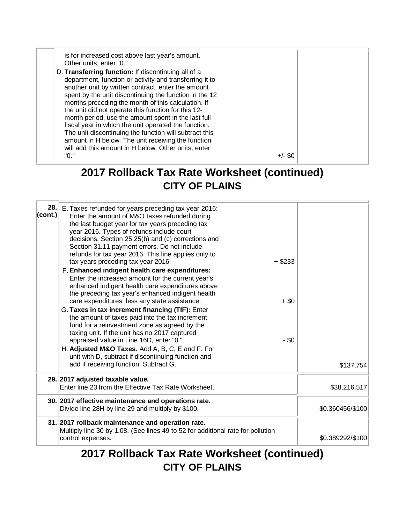is for increased cost above last year's amount. Other units, enter "0." D. **Transferring function:** If discontinuing all of a department, function or activity and transferring it to another unit by written contract, enter the amount spent by the unit discontinuing the function in the 12 months preceding the month of this calculation. If the unit did not operate this function for this 12 month period, use the amount spent in the last full fiscal year in which the unit operated the function. The unit discontinuing the function will subtract this amount in H below. The unit receiving the function will add this amount in H below. Other units, enter  $+/-$  \$0

#### **2017 Rollback Tax Rate Worksheet (continued) CITY OF PLAINS**

| 28.<br>(cont.) | E. Taxes refunded for years preceding tax year 2016:<br>Enter the amount of M&O taxes refunded during<br>the last budget year for tax years preceding tax<br>year 2016. Types of refunds include court<br>decisions, Section 25.25(b) and (c) corrections and<br>Section 31.11 payment errors. Do not include<br>refunds for tax year 2016. This line applies only to<br>tax years preceding tax year 2016.<br>F. Enhanced indigent health care expenditures:<br>Enter the increased amount for the current year's<br>enhanced indigent health care expenditures above<br>the preceding tax year's enhanced indigent health<br>care expenditures, less any state assistance.<br>G. Taxes in tax increment financing (TIF): Enter<br>the amount of taxes paid into the tax increment<br>fund for a reinvestment zone as agreed by the<br>taxing unit. If the unit has no 2017 captured<br>appraised value in Line 16D, enter "0."<br>H. Adjusted M&O Taxes. Add A, B, C, E and F. For<br>unit with D, subtract if discontinuing function and | $+$ \$233<br>$+$ \$0<br>$-$ \$0 |                  |
|----------------|---------------------------------------------------------------------------------------------------------------------------------------------------------------------------------------------------------------------------------------------------------------------------------------------------------------------------------------------------------------------------------------------------------------------------------------------------------------------------------------------------------------------------------------------------------------------------------------------------------------------------------------------------------------------------------------------------------------------------------------------------------------------------------------------------------------------------------------------------------------------------------------------------------------------------------------------------------------------------------------------------------------------------------------------|---------------------------------|------------------|
|                | add if receiving function. Subtract G.                                                                                                                                                                                                                                                                                                                                                                                                                                                                                                                                                                                                                                                                                                                                                                                                                                                                                                                                                                                                      |                                 | \$137,754        |
|                | 29. 2017 adjusted taxable value.<br>Enter line 23 from the Effective Tax Rate Worksheet.                                                                                                                                                                                                                                                                                                                                                                                                                                                                                                                                                                                                                                                                                                                                                                                                                                                                                                                                                    |                                 | \$38,216,517     |
|                | 30. 2017 effective maintenance and operations rate.<br>Divide line 28H by line 29 and multiply by \$100.                                                                                                                                                                                                                                                                                                                                                                                                                                                                                                                                                                                                                                                                                                                                                                                                                                                                                                                                    |                                 | \$0.360456/\$100 |
|                | 31. 2017 rollback maintenance and operation rate.<br>Multiply line 30 by 1.08. (See lines 49 to 52 for additional rate for pollution<br>control expenses.                                                                                                                                                                                                                                                                                                                                                                                                                                                                                                                                                                                                                                                                                                                                                                                                                                                                                   |                                 | \$0.389292/\$100 |

### **2017 Rollback Tax Rate Worksheet (continued) CITY OF PLAINS**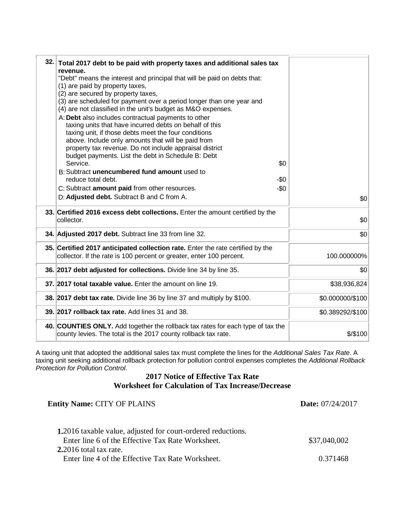| 32. Total 2017 debt to be paid with property taxes and additional sales tax<br>revenue.<br>"Debt" means the interest and principal that will be paid on debts that:<br>(1) are paid by property taxes,<br>(2) are secured by property taxes,<br>(3) are scheduled for payment over a period longer than one year and<br>(4) are not classified in the unit's budget as M&O expenses.<br>A: Debt also includes contractual payments to other<br>taxing units that have incurred debts on behalf of this<br>taxing unit, if those debts meet the four conditions<br>above. Include only amounts that will be paid from<br>property tax revenue. Do not include appraisal district<br>budget payments. List the debt in Schedule B: Debt<br>Service.<br>\$0<br>B: Subtract unencumbered fund amount used to<br>reduce total debt.<br>-\$0<br>$-\$0$<br>C: Subtract amount paid from other resources.<br>D: Adjusted debt. Subtract B and C from A. | \$0              |
|-------------------------------------------------------------------------------------------------------------------------------------------------------------------------------------------------------------------------------------------------------------------------------------------------------------------------------------------------------------------------------------------------------------------------------------------------------------------------------------------------------------------------------------------------------------------------------------------------------------------------------------------------------------------------------------------------------------------------------------------------------------------------------------------------------------------------------------------------------------------------------------------------------------------------------------------------|------------------|
| 33. Certified 2016 excess debt collections. Enter the amount certified by the<br>collector.                                                                                                                                                                                                                                                                                                                                                                                                                                                                                                                                                                                                                                                                                                                                                                                                                                                     | \$0              |
| 34. Adjusted 2017 debt. Subtract line 33 from line 32.                                                                                                                                                                                                                                                                                                                                                                                                                                                                                                                                                                                                                                                                                                                                                                                                                                                                                          | \$0              |
| 35. Certified 2017 anticipated collection rate. Enter the rate certified by the<br>collector. If the rate is 100 percent or greater, enter 100 percent.                                                                                                                                                                                                                                                                                                                                                                                                                                                                                                                                                                                                                                                                                                                                                                                         | 100.000000%      |
| 36. 2017 debt adjusted for collections. Divide line 34 by line 35.                                                                                                                                                                                                                                                                                                                                                                                                                                                                                                                                                                                                                                                                                                                                                                                                                                                                              | \$0              |
| 37. 2017 total taxable value. Enter the amount on line 19.                                                                                                                                                                                                                                                                                                                                                                                                                                                                                                                                                                                                                                                                                                                                                                                                                                                                                      | \$38,936,824     |
| 38. 2017 debt tax rate. Divide line 36 by line 37 and multiply by \$100.                                                                                                                                                                                                                                                                                                                                                                                                                                                                                                                                                                                                                                                                                                                                                                                                                                                                        | \$0.000000/\$100 |
| 39. 2017 rollback tax rate. Add lines 31 and 38.                                                                                                                                                                                                                                                                                                                                                                                                                                                                                                                                                                                                                                                                                                                                                                                                                                                                                                | \$0.389292/\$100 |
| 40. COUNTIES ONLY. Add together the rollback tax rates for each type of tax the<br>county levies. The total is the 2017 county rollback tax rate.                                                                                                                                                                                                                                                                                                                                                                                                                                                                                                                                                                                                                                                                                                                                                                                               | \$/\$100         |

A taxing unit that adopted the additional sales tax must complete the lines for the *Additional Sales Tax Rate*. A taxing unit seeking additional rollback protection for pollution control expenses completes the *Additional Rollback Protection for Pollution Control*.

#### **2017 Notice of Effective Tax Rate Worksheet for Calculation of Tax Increase/Decrease**

| <b>Entity Name: CITY OF PLAINS</b>                                  | <b>Date:</b> 07/24/2017 |  |
|---------------------------------------------------------------------|-------------------------|--|
| <b>1.2016</b> taxable value, adjusted for court-ordered reductions. |                         |  |
| Enter line 6 of the Effective Tax Rate Worksheet.                   | \$37,040,002            |  |
| $2.2016$ total tax rate.                                            |                         |  |
| Enter line 4 of the Effective Tax Rate Worksheet.                   | 0.371468                |  |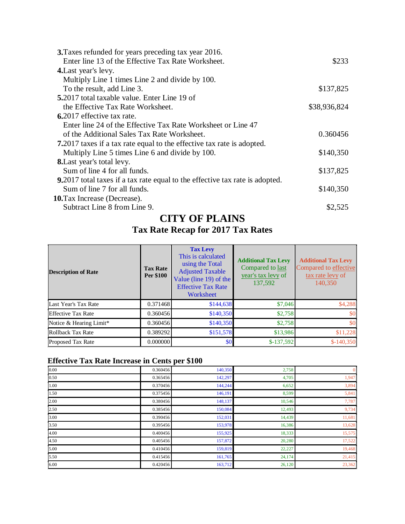| 3. Taxes refunded for years preceding tax year 2016.                                 |              |
|--------------------------------------------------------------------------------------|--------------|
| Enter line 13 of the Effective Tax Rate Worksheet.                                   | \$233        |
| 4. Last year's levy.                                                                 |              |
| Multiply Line 1 times Line 2 and divide by 100.                                      |              |
| To the result, add Line 3.                                                           | \$137,825    |
| <b>5.2017</b> total taxable value. Enter Line 19 of                                  |              |
| the Effective Tax Rate Worksheet.                                                    | \$38,936,824 |
| 6.2017 effective tax rate.                                                           |              |
| Enter line 24 of the Effective Tax Rate Worksheet or Line 47                         |              |
| of the Additional Sales Tax Rate Worksheet.                                          | 0.360456     |
| <b>7.</b> 2017 taxes if a tax rate equal to the effective tax rate is adopted.       |              |
| Multiply Line 5 times Line 6 and divide by 100.                                      | \$140,350    |
| 8. Last year's total levy.                                                           |              |
| Sum of line 4 for all funds.                                                         | \$137,825    |
| <b>9.</b> 2017 total taxes if a tax rate equal to the effective tax rate is adopted. |              |
| Sum of line 7 for all funds.                                                         | \$140,350    |
| <b>10.</b> Tax Increase (Decrease).                                                  |              |
| Subtract Line 8 from Line 9.                                                         | \$2,525      |

#### **CITY OF PLAINS**

#### **Tax Rate Recap for 2017 Tax Rates**

| <b>Description of Rate</b> | <b>Tax Rate</b><br>Per \$100 | <b>Tax Levy</b><br>This is calculated<br>using the Total<br><b>Adjusted Taxable</b><br>Value (line 19) of the<br><b>Effective Tax Rate</b><br>Worksheet | <b>Additional Tax Levy</b><br>Compared to last<br>year's tax levy of<br>137,592 | <b>Additional Tax Levy</b><br>Compared to effective<br>tax rate levy of<br>140,350 |
|----------------------------|------------------------------|---------------------------------------------------------------------------------------------------------------------------------------------------------|---------------------------------------------------------------------------------|------------------------------------------------------------------------------------|
| Last Year's Tax Rate       | 0.371468                     | \$144,638                                                                                                                                               | \$7,046                                                                         | \$4,288                                                                            |
| <b>Effective Tax Rate</b>  | 0.360456                     | \$140,350                                                                                                                                               | \$2,758                                                                         | \$0                                                                                |
| Notice & Hearing Limit*    | 0.360456                     | \$140,350                                                                                                                                               | \$2,758                                                                         | \$0                                                                                |
| Rollback Tax Rate          | 0.389292                     | \$151,578                                                                                                                                               | \$13,986                                                                        | \$11,228                                                                           |
| <b>Proposed Tax Rate</b>   | 0.000000                     | \$0 <sub>1</sub>                                                                                                                                        | $$-137,592$                                                                     | $$-140,350$                                                                        |

#### **Effective Tax Rate Increase in Cents per \$100**

| 0.00 | 0.360456 | 140,350 | 2,758  | $\overline{0}$ |
|------|----------|---------|--------|----------------|
| 0.50 | 0.365456 | 142,297 | 4,705  | 1,947          |
| 1.00 | 0.370456 | 144,244 | 6,652  | 3,894          |
| 1.50 | 0.375456 | 146,191 | 8,599  | 5,841          |
| 2.00 | 0.380456 | 148,137 | 10,546 | 7,787          |
| 2.50 | 0.385456 | 150,084 | 12,493 | 9,734          |
| 3.00 | 0.390456 | 152,031 | 14,439 | 11,681         |
| 3.50 | 0.395456 | 153,978 | 16,386 | 13,628         |
| 4.00 | 0.400456 | 155,925 | 18,333 | 15,575         |
| 4.50 | 0.405456 | 157,872 | 20,280 | 17,522         |
| 5.00 | 0.410456 | 159,819 | 22,227 | 19,468         |
| 5.50 | 0.415456 | 161,765 | 24,174 | 21,415         |
| 6.00 | 0.420456 | 163,712 | 26,120 | 23,362         |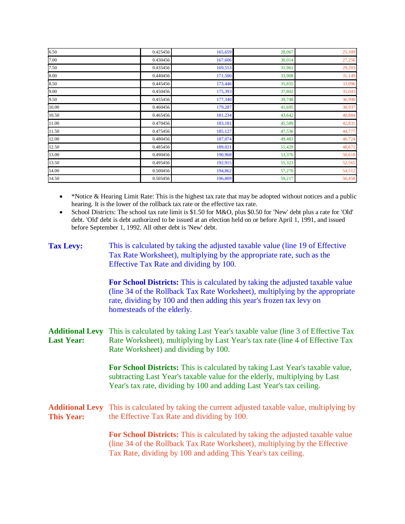| 6.50  | 0.425456 | 165,659 | 28,067 | 25,309 |
|-------|----------|---------|--------|--------|
| 7.00  | 0.430456 | 167,606 | 30,014 | 27,256 |
| 7.50  | 0.435456 | 169,553 | 31,961 | 29,203 |
| 8.00  | 0.440456 | 171,500 | 33,908 | 31,149 |
| 8.50  | 0.445456 | 173,446 | 35,855 | 33,096 |
| 9.00  | 0.450456 | 175,393 | 37,802 | 35,043 |
| 9.50  | 0.455456 | 177,340 | 39,748 | 36,990 |
| 10.00 | 0.460456 | 179,287 | 41,695 | 38,937 |
| 10.50 | 0.465456 | 181,234 | 43,642 | 40,884 |
| 11.00 | 0.470456 | 183,181 | 45,589 | 42,831 |
| 11.50 | 0.475456 | 185,127 | 47,536 | 44,777 |
| 12.00 | 0.480456 | 187,074 | 49,483 | 46,724 |
| 12.50 | 0.485456 | 189,021 | 51,429 | 48,671 |
| 13.00 | 0.490456 | 190,968 | 53,376 | 50,618 |
| 13.50 | 0.495456 | 192,915 | 55,323 | 52,565 |
| 14.00 | 0.500456 | 194,862 | 57,270 | 54,512 |
| 14.50 | 0.505456 | 196,809 | 59,217 | 56,458 |

• \*Notice & Hearing Limit Rate: This is the highest tax rate that may be adopted without notices and a public hearing. It is the lower of the rollback tax rate or the effective tax rate.

• School Districts: The school tax rate limit is \$1.50 for M&O, plus \$0.50 for 'New' debt plus a rate for 'Old' debt. 'Old' debt is debt authorized to be issued at an election held on or before April 1, 1991, and issued before September 1, 1992. All other debt is 'New' debt.

| <b>Tax Levy:</b>                            | This is calculated by taking the adjusted taxable value (line 19 of Effective<br>Tax Rate Worksheet), multiplying by the appropriate rate, such as the<br>Effective Tax Rate and dividing by 100.                                                                   |
|---------------------------------------------|---------------------------------------------------------------------------------------------------------------------------------------------------------------------------------------------------------------------------------------------------------------------|
|                                             | For School Districts: This is calculated by taking the adjusted taxable value<br>(line 34 of the Rollback Tax Rate Worksheet), multiplying by the appropriate<br>rate, dividing by 100 and then adding this year's frozen tax levy on<br>homesteads of the elderly. |
| <b>Additional Levy</b><br><b>Last Year:</b> | This is calculated by taking Last Year's taxable value (line 3 of Effective Tax<br>Rate Worksheet), multiplying by Last Year's tax rate (line 4 of Effective Tax<br>Rate Worksheet) and dividing by 100.                                                            |
|                                             | For School Districts: This is calculated by taking Last Year's taxable value,<br>subtracting Last Year's taxable value for the elderly, multiplying by Last<br>Year's tax rate, dividing by 100 and adding Last Year's tax ceiling.                                 |
| <b>Additional Levy</b><br><b>This Year:</b> | This is calculated by taking the current adjusted taxable value, multiplying by<br>the Effective Tax Rate and dividing by 100.                                                                                                                                      |
|                                             | For School Districts: This is calculated by taking the adjusted taxable value<br>(line 34 of the Rollback Tax Rate Worksheet), multiplying by the Effective<br>Tax Rate, dividing by 100 and adding This Year's tax ceiling.                                        |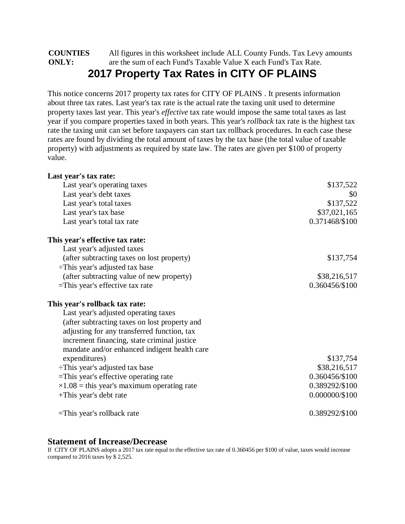#### **COUNTIES ONLY:** All figures in this worksheet include ALL County Funds. Tax Levy amounts are the sum of each Fund's Taxable Value X each Fund's Tax Rate. **2017 Property Tax Rates in CITY OF PLAINS**

This notice concerns 2017 property tax rates for CITY OF PLAINS . It presents information about three tax rates. Last year's tax rate is the actual rate the taxing unit used to determine property taxes last year. This year's *effective* tax rate would impose the same total taxes as last year if you compare properties taxed in both years. This year's *rollback* tax rate is the highest tax rate the taxing unit can set before taxpayers can start tax rollback procedures. In each case these rates are found by dividing the total amount of taxes by the tax base (the total value of taxable property) with adjustments as required by state law. The rates are given per \$100 of property value.

| Last year's tax rate:                              |                  |
|----------------------------------------------------|------------------|
| Last year's operating taxes                        | \$137,522        |
| Last year's debt taxes                             | \$0              |
| Last year's total taxes                            | \$137,522        |
| Last year's tax base                               | \$37,021,165     |
| Last year's total tax rate                         | 0.371468/\$100   |
| This year's effective tax rate:                    |                  |
| Last year's adjusted taxes                         |                  |
| (after subtracting taxes on lost property)         | \$137,754        |
| $\div$ This year's adjusted tax base               |                  |
| (after subtracting value of new property)          | \$38,216,517     |
| $=$ This year's effective tax rate                 | 0.360456/\$100   |
| This year's rollback tax rate:                     |                  |
| Last year's adjusted operating taxes               |                  |
| (after subtracting taxes on lost property and      |                  |
| adjusting for any transferred function, tax        |                  |
| increment financing, state criminal justice        |                  |
| mandate and/or enhanced indigent health care       |                  |
| expenditures)                                      | \$137,754        |
| $\div$ This year's adjusted tax base               | \$38,216,517     |
| =This year's effective operating rate              | 0.360456/\$100   |
| $\times 1.08$ = this year's maximum operating rate | 0.389292/\$100   |
| +This year's debt rate                             | $0.000000/\$100$ |
| $=$ This year's rollback rate                      | 0.389292/\$100   |

#### **Statement of Increase/Decrease**

If CITY OF PLAINS adopts a 2017 tax rate equal to the effective tax rate of 0.360456 per \$100 of value, taxes would increase compared to 2016 taxes by \$ 2,525.